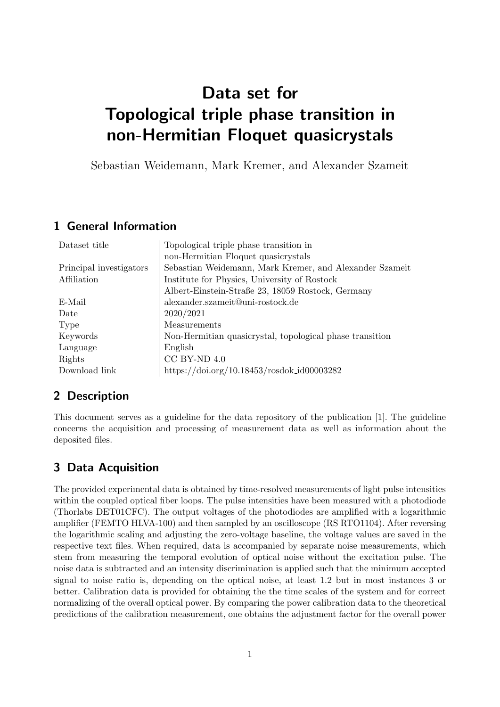# Data set for Topological triple phase transition in non-Hermitian Floquet quasicrystals

Sebastian Weidemann, Mark Kremer, and Alexander Szameit

### 1 General Information

| Dataset title           | Topological triple phase transition in                   |
|-------------------------|----------------------------------------------------------|
|                         | non-Hermitian Floquet quasicrystals                      |
| Principal investigators | Sebastian Weidemann, Mark Kremer, and Alexander Szameit  |
| Affiliation             | Institute for Physics, University of Rostock             |
|                         | Albert-Einstein-Straße 23, 18059 Rostock, Germany        |
| E-Mail                  | alexander.szameit@uni-rostock.de                         |
| Date                    | 2020/2021                                                |
| Type                    | Measurements                                             |
| Keywords                | Non-Hermitian quasicrystal, topological phase transition |
| Language                | English                                                  |
| Rights                  | $CC$ BY-ND $4.0$                                         |
| Download link           | https://doi.org/10.18453/rosdok_id00003282               |

### 2 Description

This document serves as a guideline for the data repository of the publication [1]. The guideline concerns the acquisition and processing of measurement data as well as information about the deposited files.

# 3 Data Acquisition

The provided experimental data is obtained by time-resolved measurements of light pulse intensities within the coupled optical fiber loops. The pulse intensities have been measured with a photodiode (Thorlabs DET01CFC). The output voltages of the photodiodes are amplified with a logarithmic amplifier (FEMTO HLVA-100) and then sampled by an oscilloscope (RS RTO1104). After reversing the logarithmic scaling and adjusting the zero-voltage baseline, the voltage values are saved in the respective text files. When required, data is accompanied by separate noise measurements, which stem from measuring the temporal evolution of optical noise without the excitation pulse. The noise data is subtracted and an intensity discrimination is applied such that the minimum accepted signal to noise ratio is, depending on the optical noise, at least 1.2 but in most instances 3 or better. Calibration data is provided for obtaining the the time scales of the system and for correct normalizing of the overall optical power. By comparing the power calibration data to the theoretical predictions of the calibration measurement, one obtains the adjustment factor for the overall power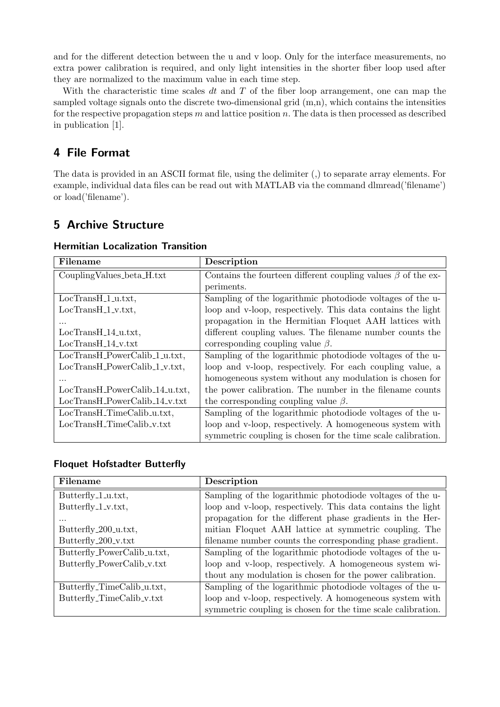and for the different detection between the u and v loop. Only for the interface measurements, no extra power calibration is required, and only light intensities in the shorter fiber loop used after they are normalized to the maximum value in each time step.

With the characteristic time scales  $dt$  and  $T$  of the fiber loop arrangement, one can map the sampled voltage signals onto the discrete two-dimensional grid (m,n), which contains the intensities for the respective propagation steps  $m$  and lattice position  $n$ . The data is then processed as described in publication [1].

### 4 File Format

The data is provided in an ASCII format file, using the delimiter (,) to separate array elements. For example, individual data files can be read out with MATLAB via the command dlmread('filename') or load('filename').

## 5 Archive Structure

| Filename                          | Description                                                        |
|-----------------------------------|--------------------------------------------------------------------|
| Coupling Values_beta_H.txt        | Contains the fourteen different coupling values $\beta$ of the ex- |
|                                   | periments.                                                         |
| $LocTransH_1_u.txt,$              | Sampling of the logarithmic photodiode voltages of the u-          |
| $LocTransH_1_v.txt$ ,             | loop and v-loop, respectively. This data contains the light        |
| $\cdots$                          | propagation in the Hermitian Floquet AAH lattices with             |
| $LocTransH_14_u.txt,$             | different coupling values. The filename number counts the          |
| $LocTransH_14_v.txt$              | corresponding coupling value $\beta$ .                             |
| LocTransH_PowerCalib_1_u.txt,     | Sampling of the logarithmic photodiode voltages of the u-          |
| $LocTransH_PowerCalib_1_v.txt,$   | loop and v-loop, respectively. For each coupling value, a          |
|                                   | homogeneous system without any modulation is chosen for            |
| $LocTrans H_PowerCalib_14_u.txt,$ | the power calibration. The number in the filename counts           |
| LocTransH_PowerCalib_14_v.txt     | the corresponding coupling value $\beta$ .                         |
| LocTransH_TimeCalib_u.txt,        | Sampling of the logarithmic photodiode voltages of the u-          |
| LocTransH_TimeCalib_v.txt         | loop and v-loop, respectively. A homogeneous system with           |
|                                   | symmetric coupling is chosen for the time scale calibration.       |

#### Hermitian Localization Transition

#### Floquet Hofstadter Butterfly

| Filename                    | Description                                                  |
|-----------------------------|--------------------------------------------------------------|
| Butterfly_1_u.txt,          | Sampling of the logarithmic photodiode voltages of the u-    |
| Butterfly_1_v.txt,          | loop and v-loop, respectively. This data contains the light  |
| $\cdots$                    | propagation for the different phase gradients in the Her-    |
| Butterfly_200_u.txt,        | mitian Floquet AAH lattice at symmetric coupling. The        |
| Butterfly_200_v.txt         | filename number counts the corresponding phase gradient.     |
| Butterfly_PowerCalib_u.txt, | Sampling of the logarithmic photodiode voltages of the u-    |
| Butterfly_PowerCalib_v.txt  | loop and v-loop, respectively. A homogeneous system wi-      |
|                             | thout any modulation is chosen for the power calibration.    |
| Butterfly_TimeCalib_u.txt,  | Sampling of the logarithmic photodiode voltages of the u-    |
| Butterfly_TimeCalib_v.txt   | loop and v-loop, respectively. A homogeneous system with     |
|                             | symmetric coupling is chosen for the time scale calibration. |